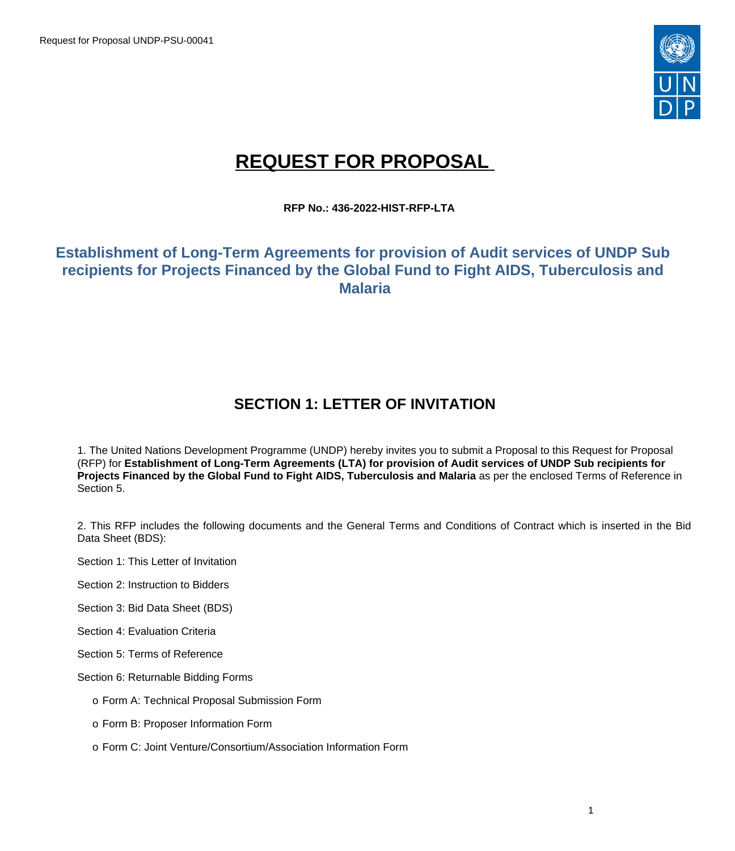

# **REQUEST FOR PROPOSAL**

**RFP No.: 436-2022-HIST-RFP-LTA**

# **Establishment of Long-Term Agreements for provision of Audit services of UNDP Sub recipients for Projects Financed by the Global Fund to Fight AIDS, Tuberculosis and Malaria**

# **SECTION 1: LETTER OF INVITATION**

1. The United Nations Development Programme (UNDP) hereby invites you to submit a Proposal to this Request for Proposal (RFP) for **Establishment of Long-Term Agreements (LTA) for provision of Audit services of UNDP Sub recipients for Projects Financed by the Global Fund to Fight AIDS, Tuberculosis and Malaria** as per the enclosed Terms of Reference in Section 5.

2. This RFP includes the following documents and the General Terms and Conditions of Contract which is inserted in the Bid Data Sheet (BDS):

Section 1: This Letter of Invitation

Section 2: Instruction to Bidders

Section 3: Bid Data Sheet (BDS)

Section 4: Evaluation Criteria

Section 5: Terms of Reference

Section 6: Returnable Bidding Forms

- o Form A: Technical Proposal Submission Form
- o Form B: Proposer Information Form
- o Form C: Joint Venture/Consortium/Association Information Form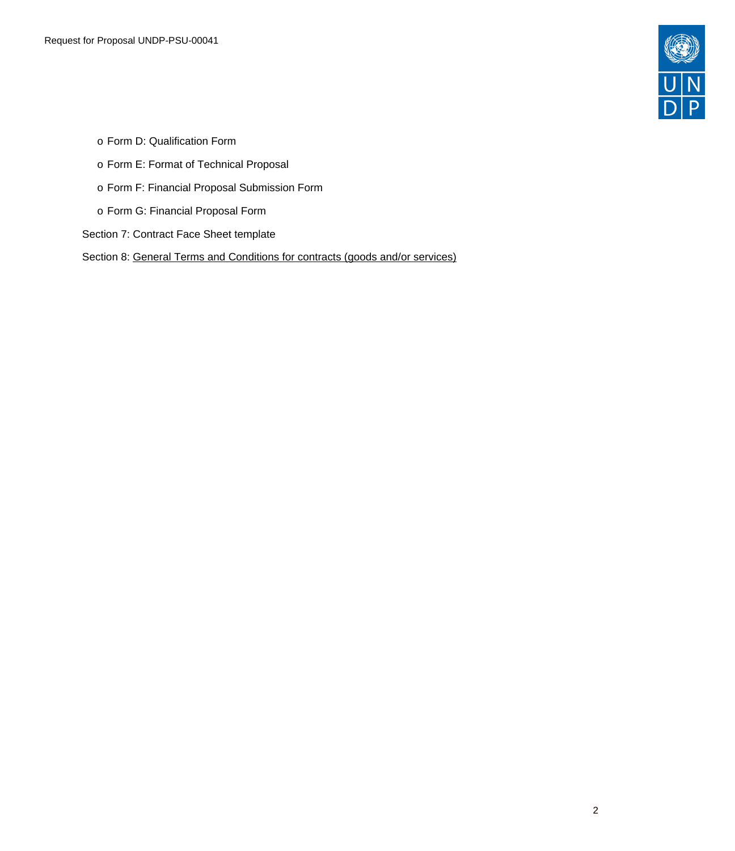

- o Form D: Qualification Form
- o Form E: Format of Technical Proposal
- o Form F: Financial Proposal Submission Form
- o Form G: Financial Proposal Form
- Section 7: Contract Face Sheet template
- Section 8: General Terms and [Conditions](https://www.undp.org/sites/g/files/zskgke326/files/procurement/pdf/3.%20UNDP%20GTCs%20for%20Contracts%20(Goods%20and-or%20Services)%20-%20Sept%202017_0.pdf) for contracts (goods and/or services)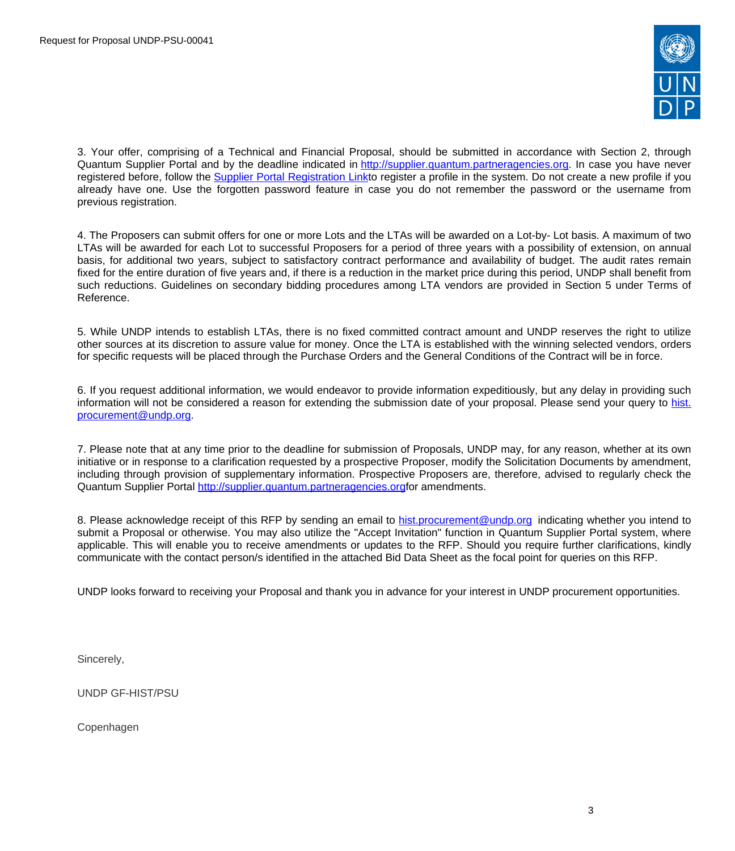

3. Your offer, comprising of a Technical and Financial Proposal, should be submitted in accordance with Section 2, through Quantum Supplier Portal and by the deadline indicated in [http://supplier.quantum.partneragencies.org](http://supplier.quantum.partneragencies.org/). In case you have never registered before, follow the Supplier Portal [Registration](https://estm.fa.em2.oraclecloud.com/fscmUI/faces/PrcPosRegisterSupplier?prcBuId=300000127715297&_adf.ctrl-state=azywmctp_1&_afrLoop=6329722925931702&_afrWindowMode=0&_afrWindowId=null&_afrFS=16&_afrMT=screen&_afrMFW=1042&_afrMFH=575&_afrMFDW=1280&_afrMFDH=720&_afrMFC=8&_afrMFCI=0&_afrMFM=0&_afrMFR=144&_afrMFG=0&_afrMFS=0&_afrMFO=0) Linkto register a profile in the system. Do not create a new profile if you already have one. Use the forgotten password feature in case you do not remember the password or the username from previous registration.

4. The Proposers can submit offers for one or more Lots and the LTAs will be awarded on a Lot-by- Lot basis. A maximum of two LTAs will be awarded for each Lot to successful Proposers for a period of three years with a possibility of extension, on annual basis, for additional two years, subject to satisfactory contract performance and availability of budget. The audit rates remain fixed for the entire duration of five years and, if there is a reduction in the market price during this period, UNDP shall benefit from such reductions. Guidelines on secondary bidding procedures among LTA vendors are provided in Section 5 under Terms of Reference.

5. While UNDP intends to establish LTAs, there is no fixed committed contract amount and UNDP reserves the right to utilize other sources at its discretion to assure value for money. Once the LTA is established with the winning selected vendors, orders for specific requests will be placed through the Purchase Orders and the General Conditions of the Contract will be in force.

6. If you request additional information, we would endeavor to provide information expeditiously, but any delay in providing such information will not be considered a reason for extending the submission date of your proposal. Please send your query to [hist.](mailto:hist.procurement@undp.org) [procurement@undp.org.](mailto:hist.procurement@undp.org)

7. Please note that at any time prior to the deadline for submission of Proposals, UNDP may, for any reason, whether at its own initiative or in response to a clarification requested by a prospective Proposer, modify the Solicitation Documents by amendment, including through provision of supplementary information. Prospective Proposers are, therefore, advised to regularly check the Quantum Supplier Portal [http://supplier.quantum.partneragencies.orgf](http://supplier.quantum.partneragencies.org/)or amendments.

8. Please acknowledge receipt of this RFP by sending an email to [hist.procurement@undp.org](mailto:hist.procurement@undp.org) indicating whether you intend to submit a Proposal or otherwise. You may also utilize the "Accept Invitation" function in Quantum Supplier Portal system, where applicable. This will enable you to receive amendments or updates to the RFP. Should you require further clarifications, kindly communicate with the contact person/s identified in the attached Bid Data Sheet as the focal point for queries on this RFP.

UNDP looks forward to receiving your Proposal and thank you in advance for your interest in UNDP procurement opportunities.

Sincerely,

UNDP GF-HIST/PSU

Copenhagen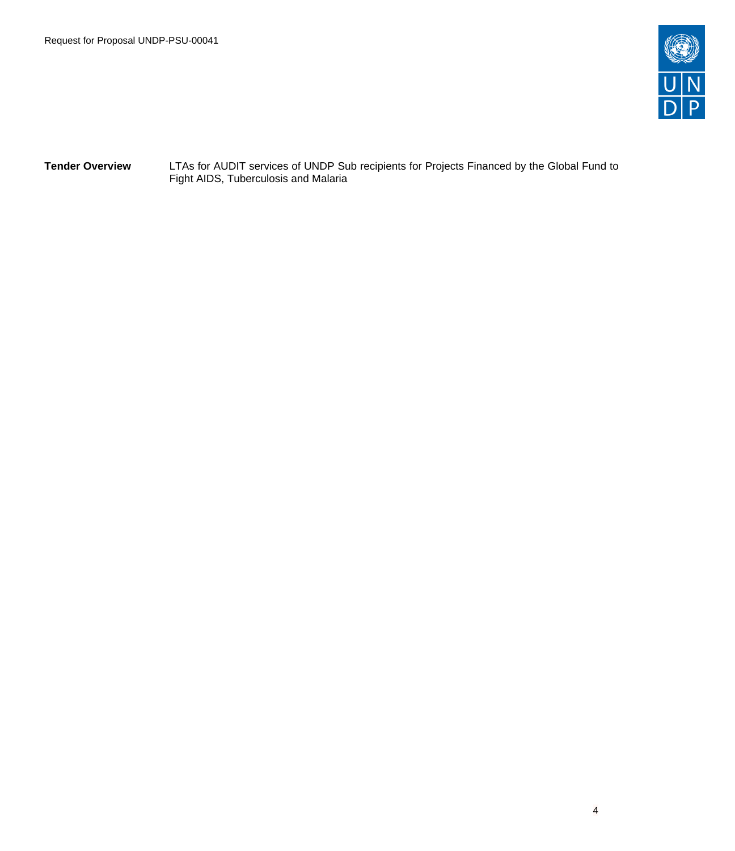

**Tender Overview** LTAs for AUDIT services of UNDP Sub recipients for Projects Financed by the Global Fund to Fight AIDS, Tuberculosis and Malaria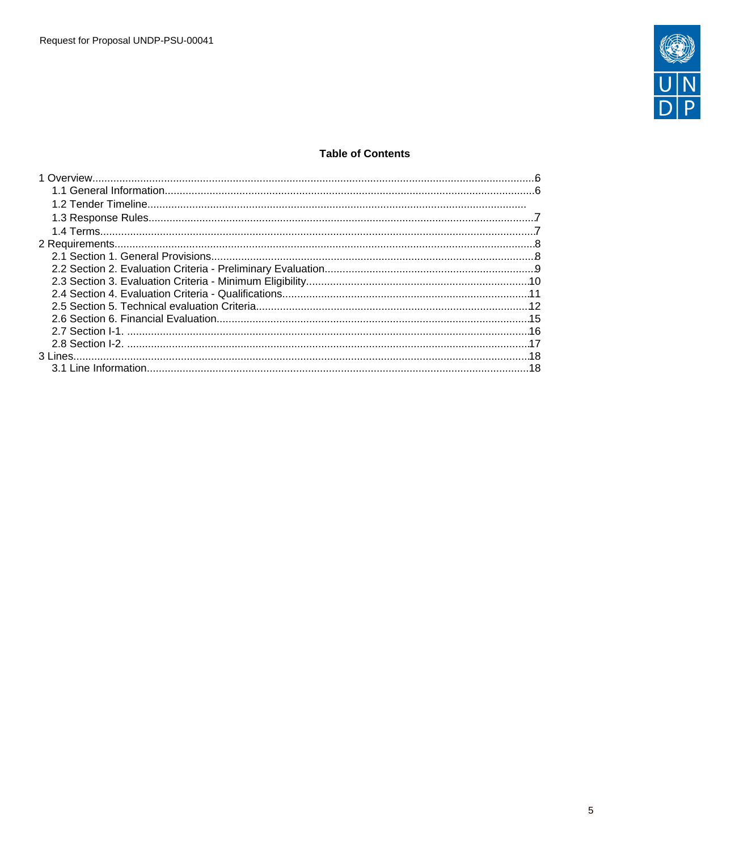

# **Table of Contents**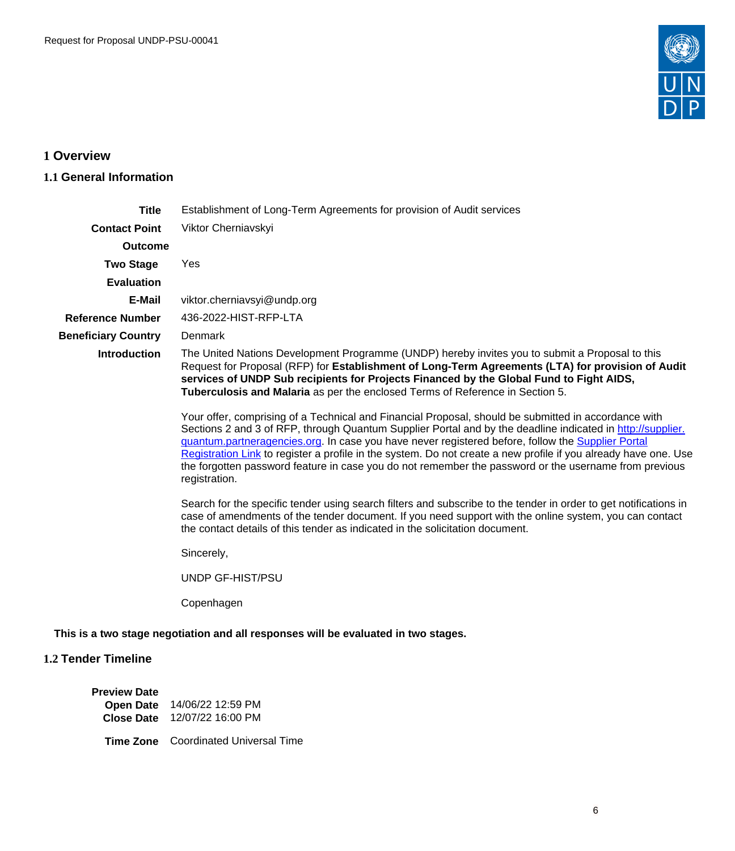

# <span id="page-5-0"></span>**1 Overview**

# <span id="page-5-1"></span>**1.1 General Information**

| <b>Title</b>               | Establishment of Long-Term Agreements for provision of Audit services                                                                                                                                                                                                                                                                                                                                                                                                                                                                                                |
|----------------------------|----------------------------------------------------------------------------------------------------------------------------------------------------------------------------------------------------------------------------------------------------------------------------------------------------------------------------------------------------------------------------------------------------------------------------------------------------------------------------------------------------------------------------------------------------------------------|
| <b>Contact Point</b>       | Viktor Cherniavskyi                                                                                                                                                                                                                                                                                                                                                                                                                                                                                                                                                  |
| <b>Outcome</b>             |                                                                                                                                                                                                                                                                                                                                                                                                                                                                                                                                                                      |
| <b>Two Stage</b>           | Yes                                                                                                                                                                                                                                                                                                                                                                                                                                                                                                                                                                  |
| <b>Evaluation</b>          |                                                                                                                                                                                                                                                                                                                                                                                                                                                                                                                                                                      |
| E-Mail                     | viktor.cherniavsyi@undp.org                                                                                                                                                                                                                                                                                                                                                                                                                                                                                                                                          |
| <b>Reference Number</b>    | 436-2022-HIST-RFP-LTA                                                                                                                                                                                                                                                                                                                                                                                                                                                                                                                                                |
| <b>Beneficiary Country</b> | Denmark                                                                                                                                                                                                                                                                                                                                                                                                                                                                                                                                                              |
| Introduction               | The United Nations Development Programme (UNDP) hereby invites you to submit a Proposal to this<br>Request for Proposal (RFP) for Establishment of Long-Term Agreements (LTA) for provision of Audit<br>services of UNDP Sub recipients for Projects Financed by the Global Fund to Fight AIDS,<br>Tuberculosis and Malaria as per the enclosed Terms of Reference in Section 5.                                                                                                                                                                                     |
|                            | Your offer, comprising of a Technical and Financial Proposal, should be submitted in accordance with<br>Sections 2 and 3 of RFP, through Quantum Supplier Portal and by the deadline indicated in http://supplier.<br>guantum.partneragencies.org. In case you have never registered before, follow the Supplier Portal<br>Registration Link to register a profile in the system. Do not create a new profile if you already have one. Use<br>the forgotten password feature in case you do not remember the password or the username from previous<br>registration. |
|                            | Search for the specific tender using search filters and subscribe to the tender in order to get notifications in<br>case of amendments of the tender document. If you need support with the online system, you can contact<br>the contact details of this tender as indicated in the solicitation document.                                                                                                                                                                                                                                                          |
|                            | Sincerely,                                                                                                                                                                                                                                                                                                                                                                                                                                                                                                                                                           |
|                            | UNDP GF-HIST/PSU                                                                                                                                                                                                                                                                                                                                                                                                                                                                                                                                                     |
|                            | Copenhagen                                                                                                                                                                                                                                                                                                                                                                                                                                                                                                                                                           |
|                            | This is a two stage negotiation and all responses will be evaluated in two stages.                                                                                                                                                                                                                                                                                                                                                                                                                                                                                   |
| 1.2 Tender Timeline        |                                                                                                                                                                                                                                                                                                                                                                                                                                                                                                                                                                      |

| <b>Preview Date</b> |                              |
|---------------------|------------------------------|
| <b>Open Date</b>    | 14/06/22 12:59 PM            |
|                     | Close Date 12/07/22 16:00 PM |

**Time Zone** Coordinated Universal Time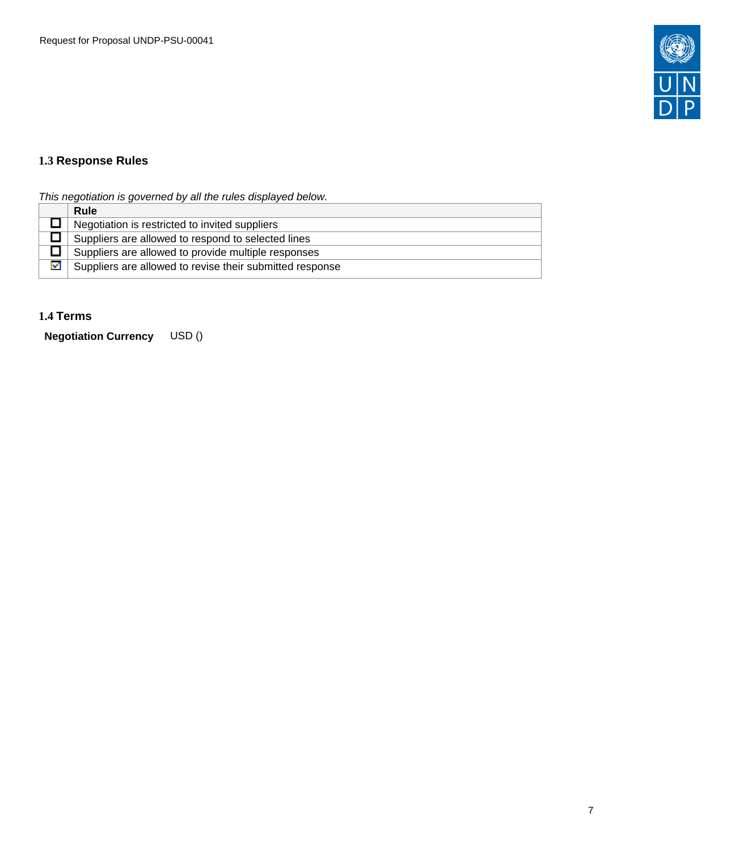

# <span id="page-6-0"></span>**1.3 Response Rules**

This negotiation is governed by all the rules displayed below.

|   | <b>Rule</b>                                              |
|---|----------------------------------------------------------|
|   | Negotiation is restricted to invited suppliers           |
|   | Suppliers are allowed to respond to selected lines       |
|   | Suppliers are allowed to provide multiple responses      |
| 罓 | Suppliers are allowed to revise their submitted response |

# <span id="page-6-1"></span>**1.4 Terms**

**Negotiation Currency** USD ()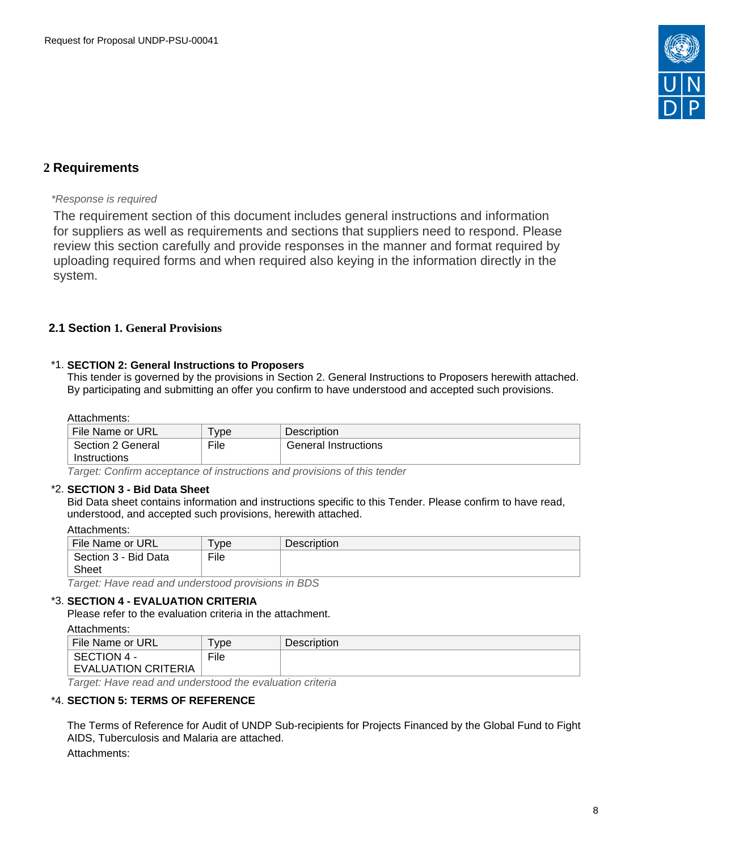

# <span id="page-7-0"></span>**2 Requirements**

# \*Response is required

The requirement section of this document includes general instructions and information for suppliers as well as requirements and sections that suppliers need to respond. Please review this section carefully and provide responses in the manner and format required by uploading required forms and when required also keying in the information directly in the system.

# <span id="page-7-1"></span>**2.1 Section 1. General Provisions**

#### \*1. **SECTION 2: General Instructions to Proposers**

This tender is governed by the provisions in Section 2. General Instructions to Proposers herewith attached. By participating and submitting an offer you confirm to have understood and accepted such provisions.

#### Attachments:

| File Name or URL                  | ype  | <b>Description</b>   |  |
|-----------------------------------|------|----------------------|--|
| Section 2 General<br>Instructions | File | General Instructions |  |
|                                   |      |                      |  |

Target: Confirm acceptance of instructions and provisions of this tender

#### \*2. **SECTION 3 - Bid Data Sheet**

Bid Data sheet contains information and instructions specific to this Tender. Please confirm to have read, understood, and accepted such provisions, herewith attached.

| File Name or URL                                             | vpe <sup>'</sup> | <b>Description</b> |
|--------------------------------------------------------------|------------------|--------------------|
| Section 3 - Bid Data                                         | File             |                    |
| Sheet                                                        |                  |                    |
| . The contract of the contract of the contract of <b>DDO</b> |                  |                    |

Target: Have read and understood provisions in BDS

#### \*3. **SECTION 4 - EVALUATION CRITERIA**

Please refer to the evaluation criteria in the attachment.

| Attachments:               |            |             |
|----------------------------|------------|-------------|
| File Name or URL           | <b>vpe</b> | Description |
| SECTION 4 -                | File       |             |
| <b>EVALUATION CRITERIA</b> |            |             |
|                            |            |             |

Target: Have read and understood the evaluation criteria

#### \*4. **SECTION 5: TERMS OF REFERENCE**

The Terms of Reference for Audit of UNDP Sub-recipients for Projects Financed by the Global Fund to Fight AIDS, Tuberculosis and Malaria are attached.

Attachments: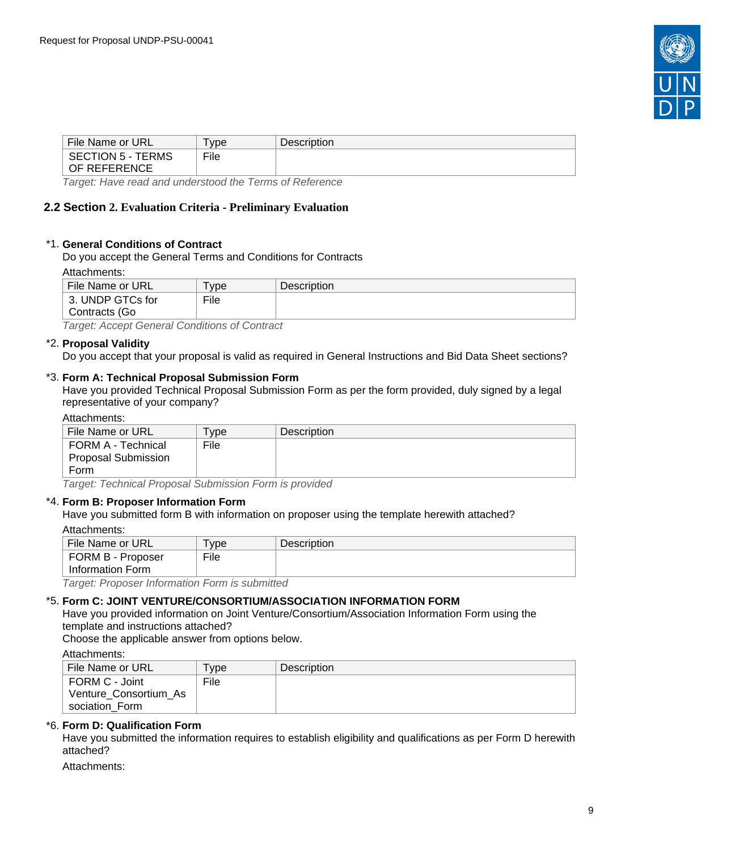

| File Name or URL                         | vpe  | <b>Description</b> |
|------------------------------------------|------|--------------------|
| <b>SECTION 5 - TERMS</b><br>OF REFERENCE | File |                    |
|                                          |      |                    |

Target: Have read and understood the Terms of Reference

# <span id="page-8-0"></span>**2.2 Section 2. Evaluation Criteria - Preliminary Evaluation**

#### \*1. **General Conditions of Contract**

Do you accept the General Terms and Conditions for Contracts

Attachments:

| File Name or URL                                                                                                                                          | vpe <sup>'</sup> | Description |
|-----------------------------------------------------------------------------------------------------------------------------------------------------------|------------------|-------------|
| 3. UNDP GTCs for                                                                                                                                          | File             |             |
| Contracts (Go                                                                                                                                             |                  |             |
| ____<br>the contract of the contract of the contract of the contract of the contract of the contract of the contract of<br>the property of the control of | ___<br>_____     |             |

Target: Accept General Conditions of Contract

#### \*2. **Proposal Validity**

Do you accept that your proposal is valid as required in General Instructions and Bid Data Sheet sections?

#### \*3. **Form A: Technical Proposal Submission Form**

Have you provided Technical Proposal Submission Form as per the form provided, duly signed by a legal representative of your company?

#### Attachments:

| File Name or URL                                           | <b>Type</b> | <b>Description</b> |
|------------------------------------------------------------|-------------|--------------------|
| l FORM A - Technical<br><b>Proposal Submission</b><br>Form | File        |                    |

Target: Technical Proposal Submission Form is provided

#### \*4. **Form B: Proposer Information Form**

Have you submitted form B with information on proposer using the template herewith attached? Attachments:

| File Name or URL                                    | vpe  | <b>Description</b> |
|-----------------------------------------------------|------|--------------------|
| FORM B - Proposer                                   | File |                    |
| $\mid$ Information Form                             |      |                    |
| Tannah, Duanaan, bafamooyitan, Famoota ay baalita d |      |                    |

Target: Proposer Information Form is submitted

# \*5. **Form C: JOINT VENTURE/CONSORTIUM/ASSOCIATION INFORMATION FORM**

Have you provided information on Joint Venture/Consortium/Association Information Form using the template and instructions attached?

Choose the applicable answer from options below.

Attachments:

| <b>File Name or URL</b> | <b>vpe</b> | <b>Description</b> |
|-------------------------|------------|--------------------|
| FORM C - Joint          | File       |                    |
| Venture Consortium As   |            |                    |
| sociation Form          |            |                    |

#### \*6. **Form D: Qualification Form**

Have you submitted the information requires to establish eligibility and qualifications as per Form D herewith attached?

Attachments: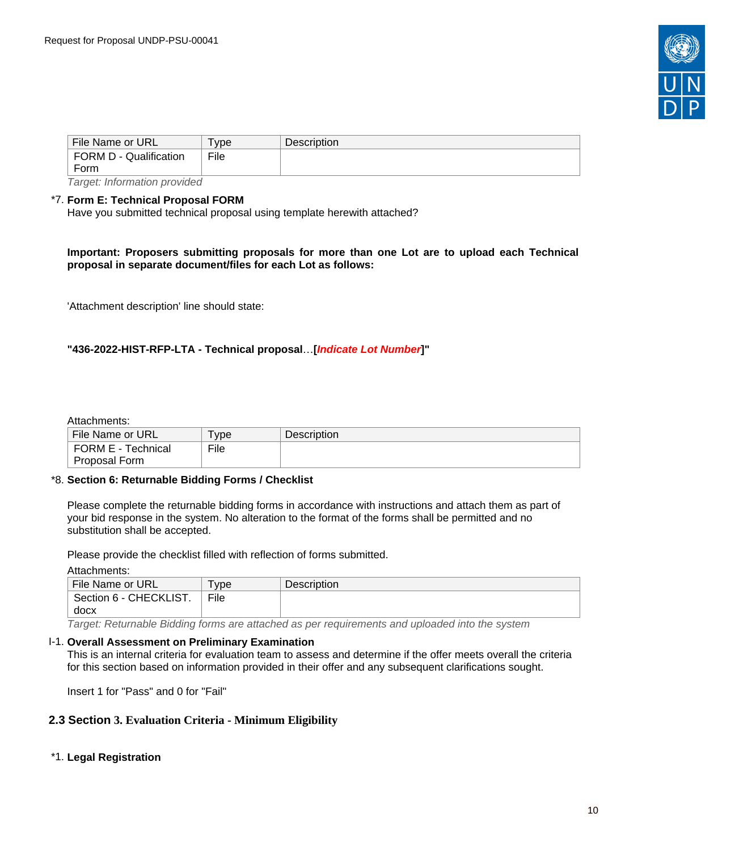

| File Name or URL              | vpe  | <b>Description</b> |  |
|-------------------------------|------|--------------------|--|
| FORM D - Qualification        | File |                    |  |
| Form                          |      |                    |  |
| Tovaralı lufayasatlan nyavdad |      |                    |  |

Target: Information provided

#### \*7. **Form E: Technical Proposal FORM**

Have you submitted technical proposal using template herewith attached?

**Important: Proposers submitting proposals for more than one Lot are to upload each Technical proposal in separate document/files for each Lot as follows:**

'Attachment description' line should state:

# **"436-2022-HIST-RFP-LTA - Technical proposal**…**[Indicate Lot Number]"**

#### Attachments:

| File Name or URL          | vpe  | Description |
|---------------------------|------|-------------|
| <b>FORM E - Technical</b> | File |             |
| Proposal Form             |      |             |

#### \*8. **Section 6: Returnable Bidding Forms / Checklist**

Please complete the returnable bidding forms in accordance with instructions and attach them as part of your bid response in the system. No alteration to the format of the forms shall be permitted and no substitution shall be accepted.

Please provide the checklist filled with reflection of forms submitted.

Attachments:

| File Name or URL       | ' vpe | <b>Description</b> |
|------------------------|-------|--------------------|
| Section 6 - CHECKLIST. | File  |                    |
| docx                   |       |                    |

Target: Returnable Bidding forms are attached as per requirements and uploaded into the system

#### I-1. **Overall Assessment on Preliminary Examination**

This is an internal criteria for evaluation team to assess and determine if the offer meets overall the criteria for this section based on information provided in their offer and any subsequent clarifications sought.

Insert 1 for "Pass" and 0 for "Fail"

#### <span id="page-9-0"></span>**2.3 Section 3. Evaluation Criteria - Minimum Eligibility**

#### \*1. **Legal Registration**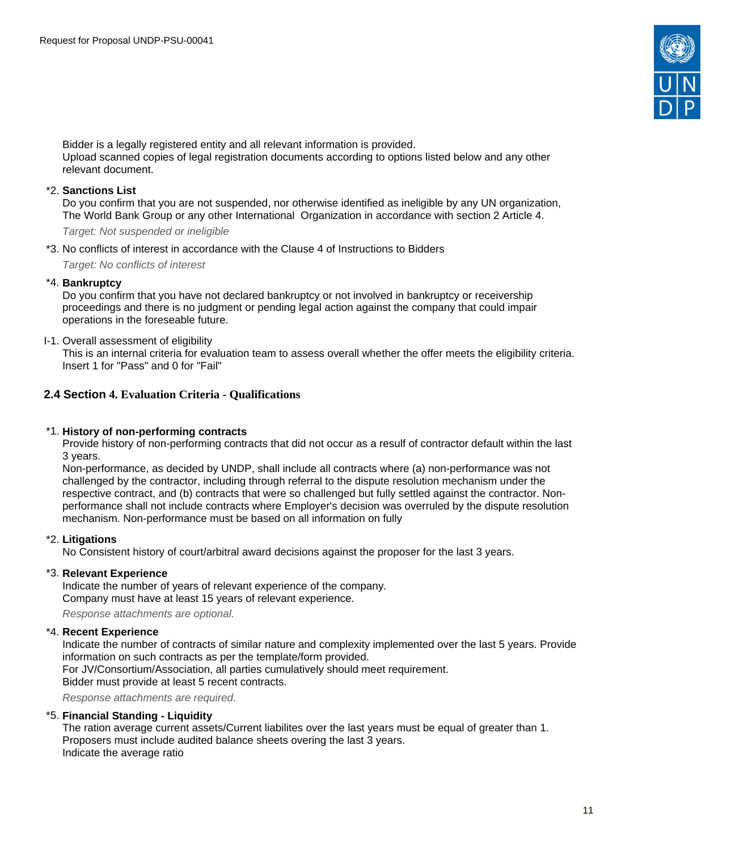

Bidder is a legally registered entity and all relevant information is provided. Upload scanned copies of legal registration documents according to options listed below and any other relevant document.

#### \*2. **Sanctions List**

Do you confirm that you are not suspended, nor otherwise identified as ineligible by any UN organization, The World Bank Group or any other International Organization in accordance with section 2 Article 4.

Target: Not suspended or ineligible

\*3. No conflicts of interest in accordance with the Clause 4 of Instructions to Bidders

Target: No conflicts of interest

#### \*4. **Bankruptcy**

Do you confirm that you have not declared bankruptcy or not involved in bankruptcy or receivership proceedings and there is no judgment or pending legal action against the company that could impair operations in the foreseable future.

I-1. Overall assessment of eligibility

This is an internal criteria for evaluation team to assess overall whether the offer meets the eligibility criteria. Insert 1 for "Pass" and 0 for "Fail"

# <span id="page-10-0"></span>**2.4 Section 4. Evaluation Criteria - Qualifications**

### \*1. **History of non-performing contracts**

Provide history of non-performing contracts that did not occur as a resulf of contractor default within the last 3 years.

Non-performance, as decided by UNDP, shall include all contracts where (a) non-performance was not challenged by the contractor, including through referral to the dispute resolution mechanism under the respective contract, and (b) contracts that were so challenged but fully settled against the contractor. Nonperformance shall not include contracts where Employer's decision was overruled by the dispute resolution mechanism. Non-performance must be based on all information on fully

#### \*2. **Litigations**

No Consistent history of court/arbitral award decisions against the proposer for the last 3 years.

# \*3. **Relevant Experience**

Indicate the number of years of relevant experience of the company. Company must have at least 15 years of relevant experience.

Response attachments are optional*.*

# \*4. **Recent Experience**

Indicate the number of contracts of similar nature and complexity implemented over the last 5 years. Provide information on such contracts as per the template/form provided. For JV/Consortium/Association, all parties cumulatively should meet requirement. Bidder must provide at least 5 recent contracts.

Response attachments are required*.*

# \*5. **Financial Standing - Liquidity**

The ration average current assets/Current liabilites over the last years must be equal of greater than 1. Proposers must include audited balance sheets overing the last 3 years. Indicate the average ratio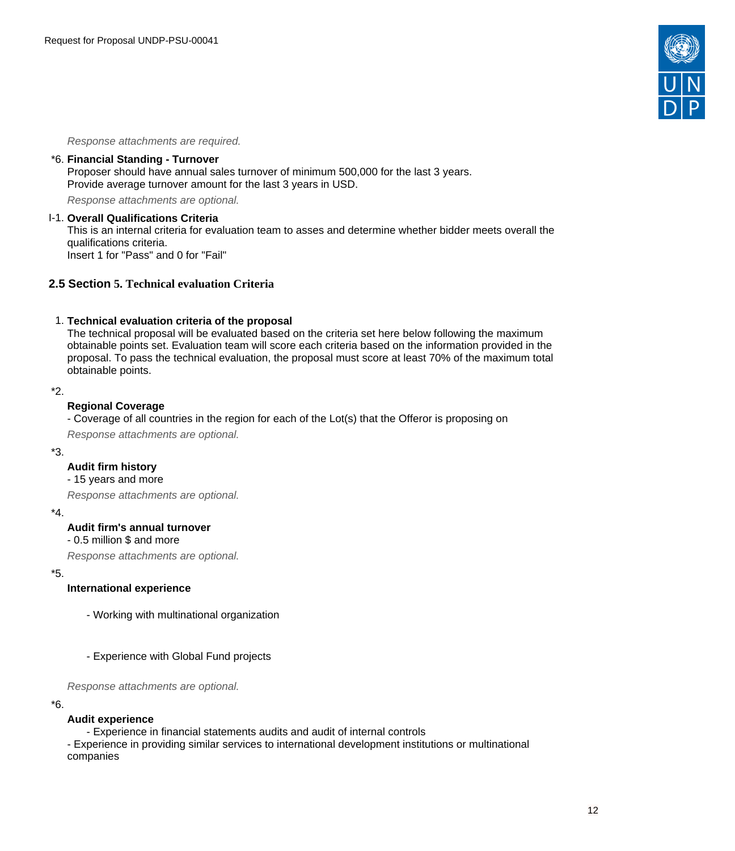

Response attachments are required*.*

#### \*6. **Financial Standing - Turnover**

Proposer should have annual sales turnover of minimum 500,000 for the last 3 years. Provide average turnover amount for the last 3 years in USD.

Response attachments are optional*.*

#### I-1. **Overall Qualifications Criteria**

This is an internal criteria for evaluation team to asses and determine whether bidder meets overall the qualifications criteria.

Insert 1 for "Pass" and 0 for "Fail"

# <span id="page-11-0"></span>**2.5 Section 5. Technical evaluation Criteria**

#### 1. **Technical evaluation criteria of the proposal**

The technical proposal will be evaluated based on the criteria set here below following the maximum obtainable points set. Evaluation team will score each criteria based on the information provided in the proposal. To pass the technical evaluation, the proposal must score at least 70% of the maximum total obtainable points.

#### \*2.

#### **Regional Coverage**

- Coverage of all countries in the region for each of the Lot(s) that the Offeror is proposing on

Response attachments are optional*.*

#### \*3.

### **Audit firm history**

# - 15 years and more

Response attachments are optional*.*

#### \*4.

#### **Audit firm's annual turnover**

#### - 0.5 million \$ and more

Response attachments are optional*.*

\*5.

### **International experience**

- Working with multinational organization
- Experience with Global Fund projects

Response attachments are optional*.*

#### \*6.

#### **Audit experience**

- Experience in financial statements audits and audit of internal controls

- Experience in providing similar services to international development institutions or multinational companies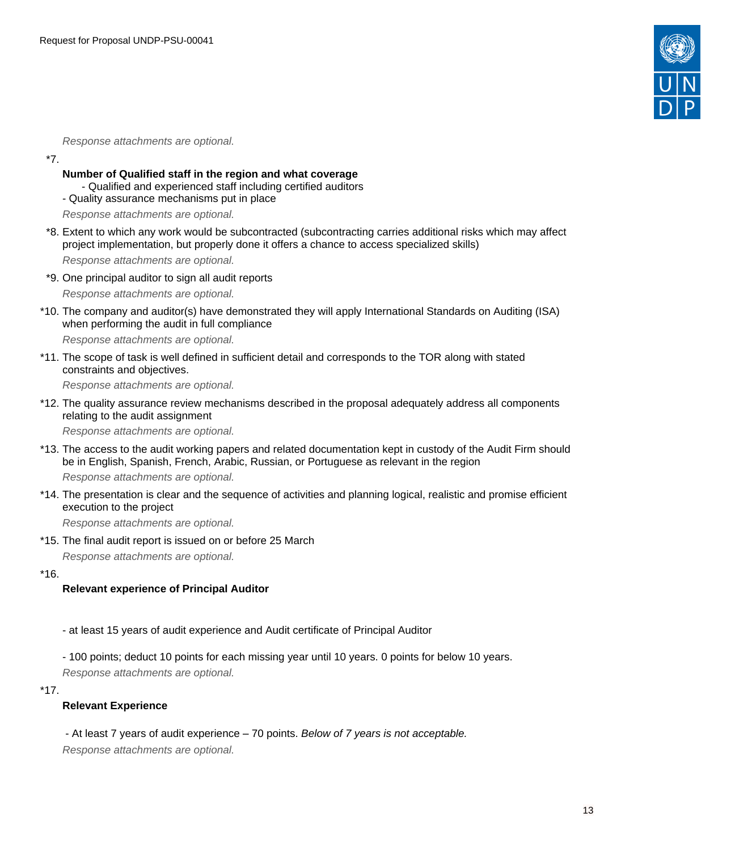

Response attachments are optional*.*

\*7.

- **Number of Qualified staff in the region and what coverage**
	- Qualified and experienced staff including certified auditors
- Quality assurance mechanisms put in place

Response attachments are optional*.*

\*8. Extent to which any work would be subcontracted (subcontracting carries additional risks which may affect project implementation, but properly done it offers a chance to access specialized skills)

Response attachments are optional*.*

- \*9. One principal auditor to sign all audit reports Response attachments are optional*.*
- \*10. The company and auditor(s) have demonstrated they will apply International Standards on Auditing (ISA) when performing the audit in full compliance

Response attachments are optional*.*

\*11. The scope of task is well defined in sufficient detail and corresponds to the TOR along with stated constraints and objectives.

Response attachments are optional*.*

\*12. The quality assurance review mechanisms described in the proposal adequately address all components relating to the audit assignment

Response attachments are optional*.*

\*13. The access to the audit working papers and related documentation kept in custody of the Audit Firm should be in English, Spanish, French, Arabic, Russian, or Portuguese as relevant in the region

Response attachments are optional*.*

\*14. The presentation is clear and the sequence of activities and planning logical, realistic and promise efficient execution to the project

Response attachments are optional*.*

\*15. The final audit report is issued on or before 25 March Response attachments are optional*.*

\*16.

# **Relevant experience of Principal Auditor**

- at least 15 years of audit experience and Audit certificate of Principal Auditor
- 100 points; deduct 10 points for each missing year until 10 years. 0 points for below 10 years.

Response attachments are optional*.*

\*17.

**Relevant Experience**

- At least 7 years of audit experience – 70 points. Below of 7 years is not acceptable.

Response attachments are optional*.*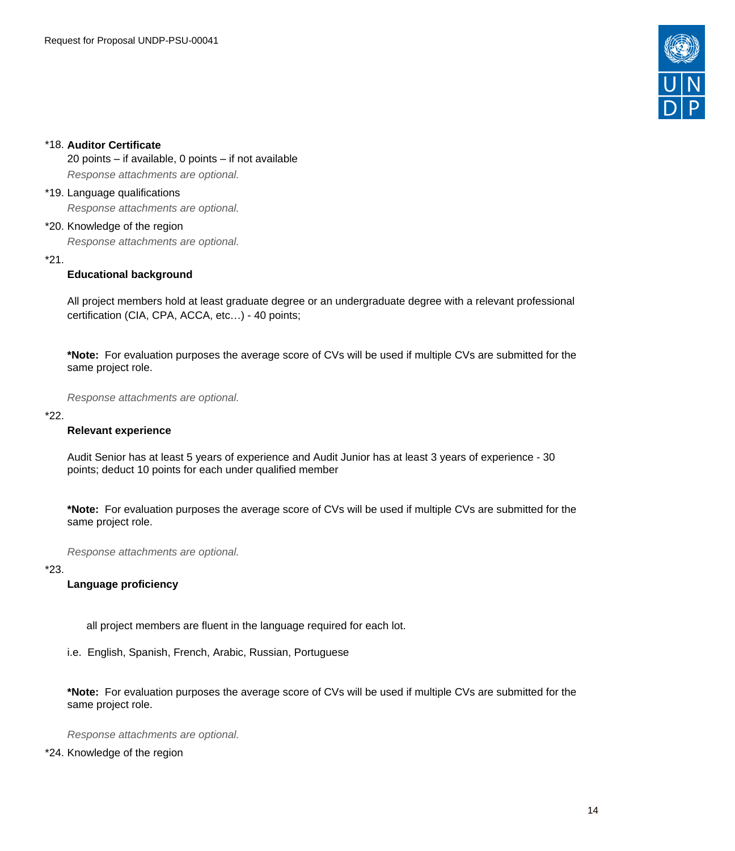

# \*18. **Auditor Certificate**

20 points – if available, 0 points – if not available Response attachments are optional*.*

#### \*19. Language qualifications

Response attachments are optional*.*

# \*20. Knowledge of the region

Response attachments are optional*.*

# \*21.

# **Educational background**

All project members hold at least graduate degree or an undergraduate degree with a relevant professional certification (CIA, CPA, ACCA, etc…) - 40 points;

**\*Note:** For evaluation purposes the average score of CVs will be used if multiple CVs are submitted for the same project role.

Response attachments are optional*.*

#### \*22.

# **Relevant experience**

Audit Senior has at least 5 years of experience and Audit Junior has at least 3 years of experience - 30 points; deduct 10 points for each under qualified member

**\*Note:** For evaluation purposes the average score of CVs will be used if multiple CVs are submitted for the same project role.

Response attachments are optional*.*

### \*23.

# **Language proficiency**

all project members are fluent in the language required for each lot.

i.e. English, Spanish, French, Arabic, Russian, Portuguese

**\*Note:** For evaluation purposes the average score of CVs will be used if multiple CVs are submitted for the same project role.

Response attachments are optional*.*

\*24. Knowledge of the region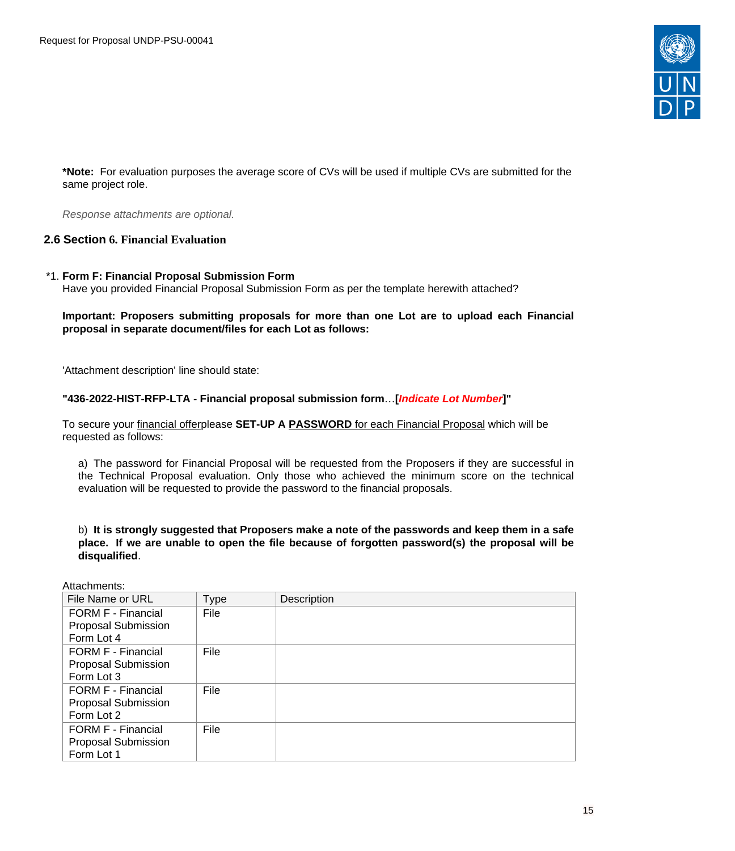

**\*Note:** For evaluation purposes the average score of CVs will be used if multiple CVs are submitted for the same project role.

Response attachments are optional*.*

# <span id="page-14-0"></span>**2.6 Section 6. Financial Evaluation**

#### \*1. **Form F: Financial Proposal Submission Form** Have you provided Financial Proposal Submission Form as per the template herewith attached?

### **Important: Proposers submitting proposals for more than one Lot are to upload each Financial proposal in separate document/files for each Lot as follows:**

'Attachment description' line should state:

# **"436-2022-HIST-RFP-LTA - Financial proposal submission form**…**[Indicate Lot Number]"**

To secure your financial offerplease **SET-UP A PASSWORD** for each Financial Proposal which will be requested as follows:

a) The password for Financial Proposal will be requested from the Proposers if they are successful in the Technical Proposal evaluation. Only those who achieved the minimum score on the technical evaluation will be requested to provide the password to the financial proposals.

b) **It is strongly suggested that Proposers make a note of the passwords and keep them in a safe place. If we are unable to open the file because of forgotten password(s) the proposal will be disqualified**.

Attachments:

| File Name or URL          | Type | Description |
|---------------------------|------|-------------|
| <b>FORM F - Financial</b> | File |             |
| Proposal Submission       |      |             |
| Form Lot 4                |      |             |
| FORM F - Financial        | File |             |
| Proposal Submission       |      |             |
| Form Lot 3                |      |             |
| FORM F - Financial        | File |             |
| Proposal Submission       |      |             |
| Form Lot 2                |      |             |
| FORM F - Financial        | File |             |
| Proposal Submission       |      |             |
| Form Lot 1                |      |             |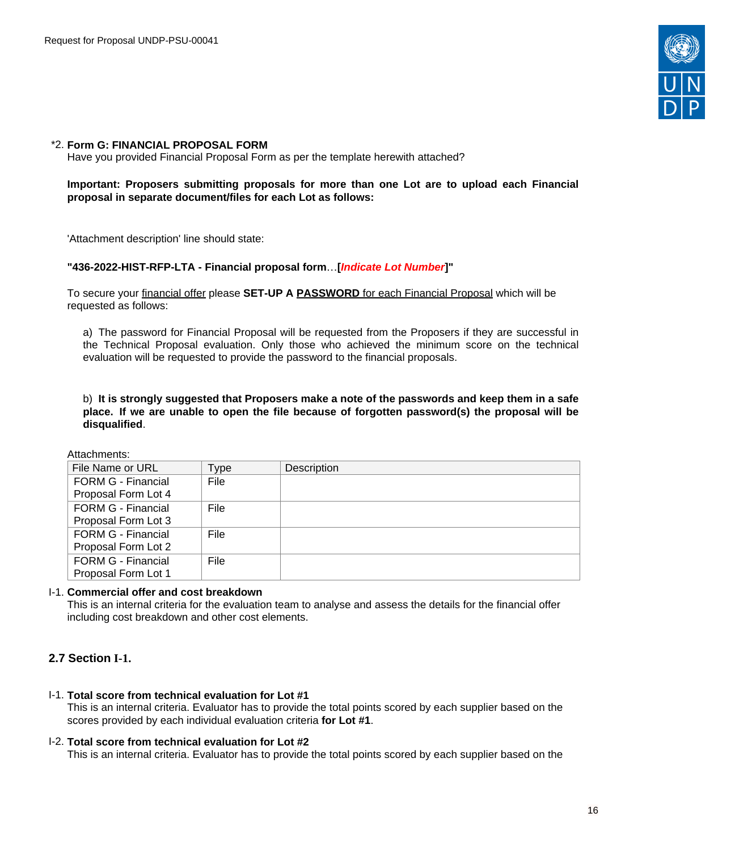

#### \*2. **Form G: FINANCIAL PROPOSAL FORM**

Have you provided Financial Proposal Form as per the template herewith attached?

### **Important: Proposers submitting proposals for more than one Lot are to upload each Financial proposal in separate document/files for each Lot as follows:**

'Attachment description' line should state:

#### **"436-2022-HIST-RFP-LTA - Financial proposal form**…**[Indicate Lot Number]"**

To secure your financial offer please **SET-UP A PASSWORD** for each Financial Proposal which will be requested as follows:

a) The password for Financial Proposal will be requested from the Proposers if they are successful in the Technical Proposal evaluation. Only those who achieved the minimum score on the technical evaluation will be requested to provide the password to the financial proposals.

#### b) **It is strongly suggested that Proposers make a note of the passwords and keep them in a safe place. If we are unable to open the file because of forgotten password(s) the proposal will be disqualified**.

Attachments:

| File Name or URL          | Type | Description |
|---------------------------|------|-------------|
| FORM G - Financial        | File |             |
| Proposal Form Lot 4       |      |             |
| <b>FORM G - Financial</b> | File |             |
| Proposal Form Lot 3       |      |             |
| <b>FORM G - Financial</b> | File |             |
| Proposal Form Lot 2       |      |             |
| <b>FORM G - Financial</b> | File |             |
| Proposal Form Lot 1       |      |             |

#### I-1. **Commercial offer and cost breakdown**

This is an internal criteria for the evaluation team to analyse and assess the details for the financial offer including cost breakdown and other cost elements.

# <span id="page-15-0"></span>**2.7 Section I-1.**

I-1. **Total score from technical evaluation for Lot #1**

This is an internal criteria. Evaluator has to provide the total points scored by each supplier based on the scores provided by each individual evaluation criteria **for Lot #1**.

#### I-2. **Total score from technical evaluation for Lot #2**

This is an internal criteria. Evaluator has to provide the total points scored by each supplier based on the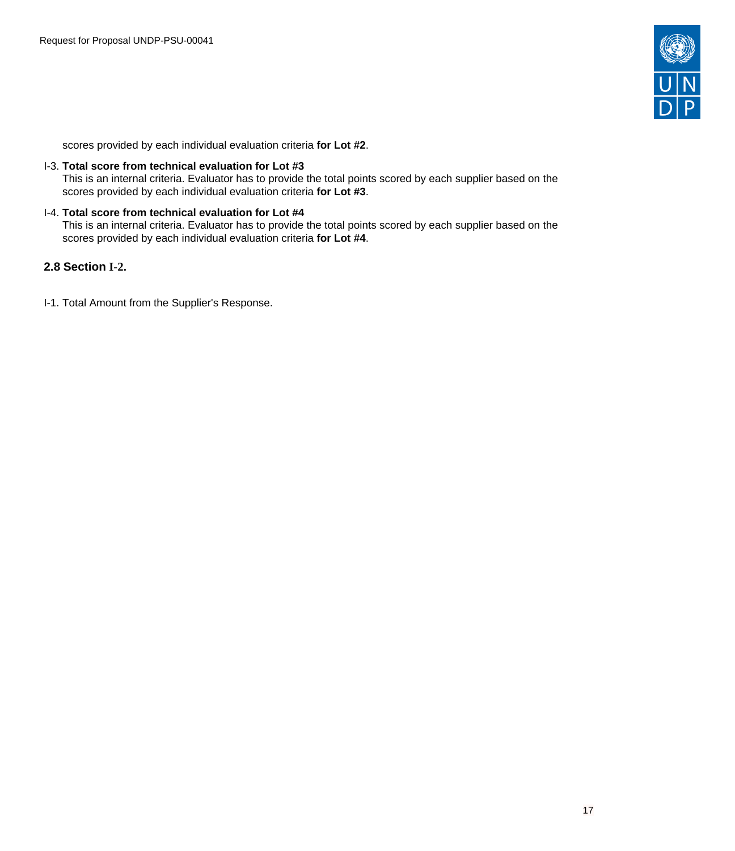

scores provided by each individual evaluation criteria **for Lot #2**.

### I-3. **Total score from technical evaluation for Lot #3**

This is an internal criteria. Evaluator has to provide the total points scored by each supplier based on the scores provided by each individual evaluation criteria **for Lot #3**.

# I-4. **Total score from technical evaluation for Lot #4**

This is an internal criteria. Evaluator has to provide the total points scored by each supplier based on the scores provided by each individual evaluation criteria **for Lot #4**.

# <span id="page-16-0"></span>**2.8 Section I-2.**

I-1. Total Amount from the Supplier's Response.